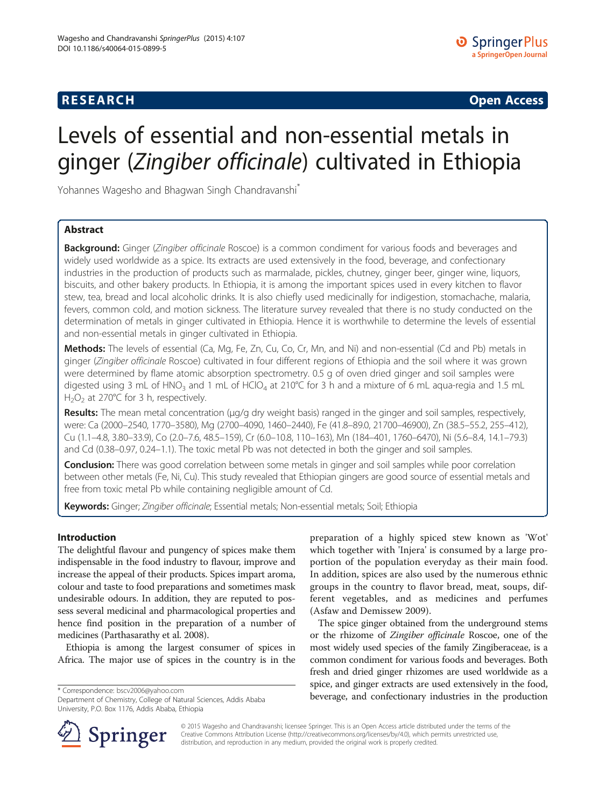# **RESEARCH CHINESE ARCH CHINESE ARCH CHINESE ARCH <b>CHINESE ARCH**

# Levels of essential and non-essential metals in ginger (Zingiber officinale) cultivated in Ethiopia

Yohannes Wagesho and Bhagwan Singh Chandravanshi<sup>®</sup>

# Abstract

Background: Ginger (Zingiber officinale Roscoe) is a common condiment for various foods and beverages and widely used worldwide as a spice. Its extracts are used extensively in the food, beverage, and confectionary industries in the production of products such as marmalade, pickles, chutney, ginger beer, ginger wine, liquors, biscuits, and other bakery products. In Ethiopia, it is among the important spices used in every kitchen to flavor stew, tea, bread and local alcoholic drinks. It is also chiefly used medicinally for indigestion, stomachache, malaria, fevers, common cold, and motion sickness. The literature survey revealed that there is no study conducted on the determination of metals in ginger cultivated in Ethiopia. Hence it is worthwhile to determine the levels of essential and non-essential metals in ginger cultivated in Ethiopia.

Methods: The levels of essential (Ca, Mg, Fe, Zn, Cu, Co, Cr, Mn, and Ni) and non-essential (Cd and Pb) metals in ginger (Zingiber officinale Roscoe) cultivated in four different regions of Ethiopia and the soil where it was grown were determined by flame atomic absorption spectrometry. 0.5 g of oven dried ginger and soil samples were digested using 3 mL of HNO<sub>3</sub> and 1 mL of HClO<sub>4</sub> at 210°C for 3 h and a mixture of 6 mL aqua-regia and 1.5 mL  $H_2O_2$  at 270°C for 3 h, respectively.

Results: The mean metal concentration (μg/g dry weight basis) ranged in the ginger and soil samples, respectively, were: Ca (2000–2540, 1770–3580), Mg (2700–4090, 1460–2440), Fe (41.8–89.0, 21700–46900), Zn (38.5–55.2, 255–412), Cu (1.1–4.8, 3.80–33.9), Co (2.0–7.6, 48.5–159), Cr (6.0–10.8, 110–163), Mn (184–401, 1760–6470), Ni (5.6–8.4, 14.1–79.3) and Cd (0.38–0.97, 0.24–1.1). The toxic metal Pb was not detected in both the ginger and soil samples.

**Conclusion:** There was good correlation between some metals in ginger and soil samples while poor correlation between other metals (Fe, Ni, Cu). This study revealed that Ethiopian gingers are good source of essential metals and free from toxic metal Pb while containing negligible amount of Cd.

Keywords: Ginger; Zingiber officinale; Essential metals; Non-essential metals; Soil; Ethiopia

# Introduction

The delightful flavour and pungency of spices make them indispensable in the food industry to flavour, improve and increase the appeal of their products. Spices impart aroma, colour and taste to food preparations and sometimes mask undesirable odours. In addition, they are reputed to possess several medicinal and pharmacological properties and hence find position in the preparation of a number of medicines (Parthasarathy et al. [2008](#page-12-0)).

Ethiopia is among the largest consumer of spices in Africa. The major use of spices in the country is in the

Department of Chemistry, College of Natural Sciences, Addis Ababa University, P.O. Box 1176, Addis Ababa, Ethiopia

preparation of a highly spiced stew known as 'Wot' which together with 'Injera' is consumed by a large proportion of the population everyday as their main food. In addition, spices are also used by the numerous ethnic groups in the country to flavor bread, meat, soups, different vegetables, and as medicines and perfumes (Asfaw and Demissew [2009](#page-11-0)).

The spice ginger obtained from the underground stems or the rhizome of Zingiber officinale Roscoe, one of the most widely used species of the family Zingiberaceae, is a common condiment for various foods and beverages. Both fresh and dried ginger rhizomes are used worldwide as a spice, and ginger extracts are used extensively in the food, beverage, and confectionary industries in the production \* Correspondence: [bscv2006@yahoo.com](mailto:bscv2006@yahoo.com)



© 2015 Wagesho and Chandravanshi; licensee Springer. This is an Open Access article distributed under the terms of the Creative Commons Attribution License [\(http://creativecommons.org/licenses/by/4.0\)](http://creativecommons.org/licenses/by/4.0), which permits unrestricted use, distribution, and reproduction in any medium, provided the original work is properly credited.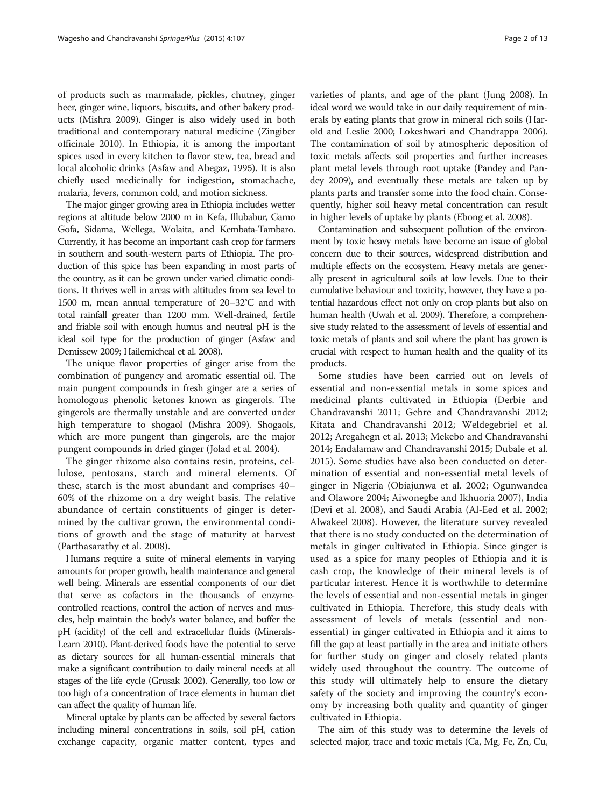of products such as marmalade, pickles, chutney, ginger beer, ginger wine, liquors, biscuits, and other bakery products (Mishra [2009](#page-12-0)). Ginger is also widely used in both traditional and contemporary natural medicine (Zingiber officinale [2010\)](#page-12-0). In Ethiopia, it is among the important spices used in every kitchen to flavor stew, tea, bread and local alcoholic drinks (Asfaw and Abegaz, [1995\)](#page-11-0). It is also chiefly used medicinally for indigestion, stomachache, malaria, fevers, common cold, and motion sickness.

The major ginger growing area in Ethiopia includes wetter regions at altitude below 2000 m in Kefa, Illubabur, Gamo Gofa, Sidama, Wellega, Wolaita, and Kembata-Tambaro. Currently, it has become an important cash crop for farmers in southern and south-western parts of Ethiopia. The production of this spice has been expanding in most parts of the country, as it can be grown under varied climatic conditions. It thrives well in areas with altitudes from sea level to 1500 m, mean annual temperature of 20–32°C and with total rainfall greater than 1200 mm. Well-drained, fertile and friable soil with enough humus and neutral pH is the ideal soil type for the production of ginger (Asfaw and Demissew [2009](#page-11-0); Hailemicheal et al. [2008\)](#page-12-0).

The unique flavor properties of ginger arise from the combination of pungency and aromatic essential oil. The main pungent compounds in fresh ginger are a series of homologous phenolic ketones known as gingerols. The gingerols are thermally unstable and are converted under high temperature to shogaol (Mishra [2009\)](#page-12-0). Shogaols, which are more pungent than gingerols, are the major pungent compounds in dried ginger (Jolad et al. [2004\)](#page-12-0).

The ginger rhizome also contains resin, proteins, cellulose, pentosans, starch and mineral elements. Of these, starch is the most abundant and comprises 40– 60% of the rhizome on a dry weight basis. The relative abundance of certain constituents of ginger is determined by the cultivar grown, the environmental conditions of growth and the stage of maturity at harvest (Parthasarathy et al. [2008\)](#page-12-0).

Humans require a suite of mineral elements in varying amounts for proper growth, health maintenance and general well being. Minerals are essential components of our diet that serve as cofactors in the thousands of enzymecontrolled reactions, control the action of nerves and muscles, help maintain the body's water balance, and buffer the pH (acidity) of the cell and extracellular fluids (Minerals-Learn [2010\)](#page-12-0). Plant-derived foods have the potential to serve as dietary sources for all human-essential minerals that make a significant contribution to daily mineral needs at all stages of the life cycle (Grusak [2002\)](#page-12-0). Generally, too low or too high of a concentration of trace elements in human diet can affect the quality of human life.

Mineral uptake by plants can be affected by several factors including mineral concentrations in soils, soil pH, cation exchange capacity, organic matter content, types and

varieties of plants, and age of the plant (Jung [2008](#page-12-0)). In ideal word we would take in our daily requirement of minerals by eating plants that grow in mineral rich soils (Harold and Leslie [2000](#page-12-0); Lokeshwari and Chandrappa [2006](#page-12-0)). The contamination of soil by atmospheric deposition of toxic metals affects soil properties and further increases plant metal levels through root uptake (Pandey and Pandey [2009](#page-12-0)), and eventually these metals are taken up by plants parts and transfer some into the food chain. Consequently, higher soil heavy metal concentration can result in higher levels of uptake by plants (Ebong et al. [2008\)](#page-12-0).

Contamination and subsequent pollution of the environment by toxic heavy metals have become an issue of global concern due to their sources, widespread distribution and multiple effects on the ecosystem. Heavy metals are generally present in agricultural soils at low levels. Due to their cumulative behaviour and toxicity, however, they have a potential hazardous effect not only on crop plants but also on human health (Uwah et al. [2009](#page-12-0)). Therefore, a comprehensive study related to the assessment of levels of essential and toxic metals of plants and soil where the plant has grown is crucial with respect to human health and the quality of its products.

Some studies have been carried out on levels of essential and non-essential metals in some spices and medicinal plants cultivated in Ethiopia (Derbie and Chandravanshi [2011](#page-11-0); Gebre and Chandravanshi [2012](#page-12-0); Kitata and Chandravanshi [2012](#page-12-0); Weldegebriel et al. [2012;](#page-12-0) Aregahegn et al. [2013](#page-11-0); Mekebo and Chandravanshi [2014;](#page-12-0) Endalamaw and Chandravanshi [2015;](#page-12-0) Dubale et al. [2015\)](#page-11-0). Some studies have also been conducted on determination of essential and non-essential metal levels of ginger in Nigeria (Obiajunwa et al. [2002](#page-12-0); Ogunwandea and Olawore [2004](#page-12-0); Aiwonegbe and Ikhuoria [2007](#page-11-0)), India (Devi et al. [2008\)](#page-11-0), and Saudi Arabia (Al-Eed et al. [2002](#page-11-0); Alwakeel [2008](#page-11-0)). However, the literature survey revealed that there is no study conducted on the determination of metals in ginger cultivated in Ethiopia. Since ginger is used as a spice for many peoples of Ethiopia and it is cash crop, the knowledge of their mineral levels is of particular interest. Hence it is worthwhile to determine the levels of essential and non-essential metals in ginger cultivated in Ethiopia. Therefore, this study deals with assessment of levels of metals (essential and nonessential) in ginger cultivated in Ethiopia and it aims to fill the gap at least partially in the area and initiate others for further study on ginger and closely related plants widely used throughout the country. The outcome of this study will ultimately help to ensure the dietary safety of the society and improving the country's economy by increasing both quality and quantity of ginger cultivated in Ethiopia.

The aim of this study was to determine the levels of selected major, trace and toxic metals (Ca, Mg, Fe, Zn, Cu,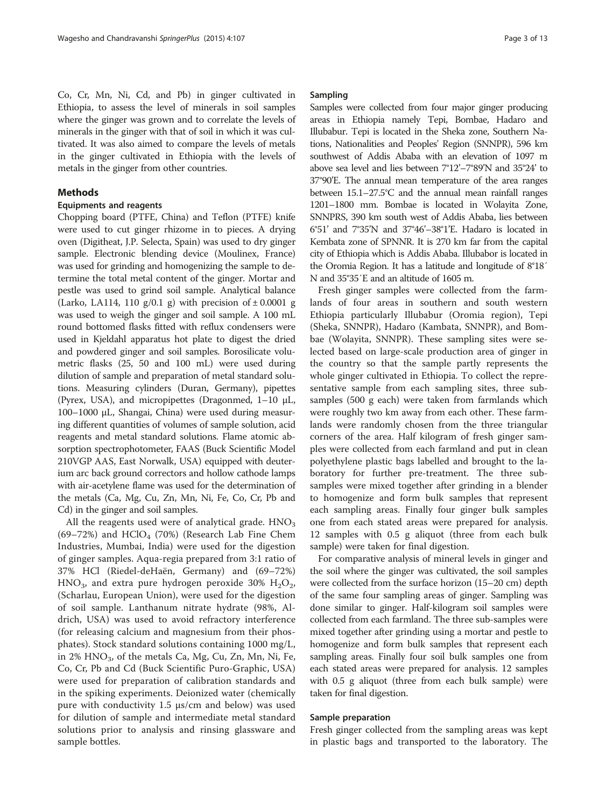Co, Cr, Mn, Ni, Cd, and Pb) in ginger cultivated in Ethiopia, to assess the level of minerals in soil samples where the ginger was grown and to correlate the levels of minerals in the ginger with that of soil in which it was cultivated. It was also aimed to compare the levels of metals in the ginger cultivated in Ethiopia with the levels of metals in the ginger from other countries.

### Methods

# Equipments and reagents

Chopping board (PTFE, China) and Teflon (PTFE) knife were used to cut ginger rhizome in to pieces. A drying oven (Digitheat, J.P. Selecta, Spain) was used to dry ginger sample. Electronic blending device (Moulinex, France) was used for grinding and homogenizing the sample to determine the total metal content of the ginger. Mortar and pestle was used to grind soil sample. Analytical balance (Larko, LA114, 110 g/0.1 g) with precision of  $\pm$  0.0001 g was used to weigh the ginger and soil sample. A 100 mL round bottomed flasks fitted with reflux condensers were used in Kjeldahl apparatus hot plate to digest the dried and powdered ginger and soil samples. Borosilicate volumetric flasks (25, 50 and 100 mL) were used during dilution of sample and preparation of metal standard solutions. Measuring cylinders (Duran, Germany), pipettes (Pyrex, USA), and micropipettes (Dragonmed, 1–10 μL, 100–1000 μL, Shangai, China) were used during measuring different quantities of volumes of sample solution, acid reagents and metal standard solutions. Flame atomic absorption spectrophotometer, FAAS (Buck Scientific Model 210VGP AAS, East Norwalk, USA) equipped with deuterium arc back ground correctors and hollow cathode lamps with air-acetylene flame was used for the determination of the metals (Ca, Mg, Cu, Zn, Mn, Ni, Fe, Co, Cr, Pb and Cd) in the ginger and soil samples.

All the reagents used were of analytical grade.  $HNO<sub>3</sub>$  $(69-72%)$  and  $HClO<sub>4</sub>$  (70%) (Research Lab Fine Chem Industries, Mumbai, India) were used for the digestion of ginger samples. Aqua-regia prepared from 3:1 ratio of 37% HCl (Riedel-deHaën, Germany) and (69–72%) HNO<sub>3</sub>, and extra pure hydrogen peroxide 30% H<sub>2</sub>O<sub>2</sub>, (Scharlau, European Union), were used for the digestion of soil sample. Lanthanum nitrate hydrate (98%, Aldrich, USA) was used to avoid refractory interference (for releasing calcium and magnesium from their phosphates). Stock standard solutions containing 1000 mg/L, in 2% HNO<sub>3</sub>, of the metals Ca, Mg, Cu, Zn, Mn, Ni, Fe, Co, Cr, Pb and Cd (Buck Scientific Puro-Graphic, USA) were used for preparation of calibration standards and in the spiking experiments. Deionized water (chemically pure with conductivity 1.5 μs/cm and below) was used for dilution of sample and intermediate metal standard solutions prior to analysis and rinsing glassware and sample bottles.

#### Sampling

Samples were collected from four major ginger producing areas in Ethiopia namely Tepi, Bombae, Hadaro and Illubabur. Tepi is located in the Sheka zone, Southern Nations, Nationalities and Peoples' Region (SNNPR), 596 km southwest of Addis Ababa with an elevation of 1097 m above sea level and lies between 7°12'–7°89'N and 35°24' to 37°90'E. The annual mean temperature of the area ranges between 15.1–27.5°C and the annual mean rainfall ranges 1201–1800 mm. Bombae is located in Wolayita Zone, SNNPRS, 390 km south west of Addis Ababa, lies between 6°51' and 7°35'N and 37°46'–38°1'E. Hadaro is located in Kembata zone of SPNNR. It is 270 km far from the capital city of Ethiopia which is Addis Ababa. Illubabor is located in the Oromia Region. It has a latitude and longitude of 8°18′ N and 35°35′E and an altitude of 1605 m.

Fresh ginger samples were collected from the farmlands of four areas in southern and south western Ethiopia particularly Illubabur (Oromia region), Tepi (Sheka, SNNPR), Hadaro (Kambata, SNNPR), and Bombae (Wolayita, SNNPR). These sampling sites were selected based on large-scale production area of ginger in the country so that the sample partly represents the whole ginger cultivated in Ethiopia. To collect the representative sample from each sampling sites, three subsamples (500 g each) were taken from farmlands which were roughly two km away from each other. These farmlands were randomly chosen from the three triangular corners of the area. Half kilogram of fresh ginger samples were collected from each farmland and put in clean polyethylene plastic bags labelled and brought to the laboratory for further pre-treatment. The three subsamples were mixed together after grinding in a blender to homogenize and form bulk samples that represent each sampling areas. Finally four ginger bulk samples one from each stated areas were prepared for analysis. 12 samples with 0.5 g aliquot (three from each bulk sample) were taken for final digestion.

For comparative analysis of mineral levels in ginger and the soil where the ginger was cultivated, the soil samples were collected from the surface horizon (15–20 cm) depth of the same four sampling areas of ginger. Sampling was done similar to ginger. Half-kilogram soil samples were collected from each farmland. The three sub-samples were mixed together after grinding using a mortar and pestle to homogenize and form bulk samples that represent each sampling areas. Finally four soil bulk samples one from each stated areas were prepared for analysis. 12 samples with 0.5 g aliquot (three from each bulk sample) were taken for final digestion.

#### Sample preparation

Fresh ginger collected from the sampling areas was kept in plastic bags and transported to the laboratory. The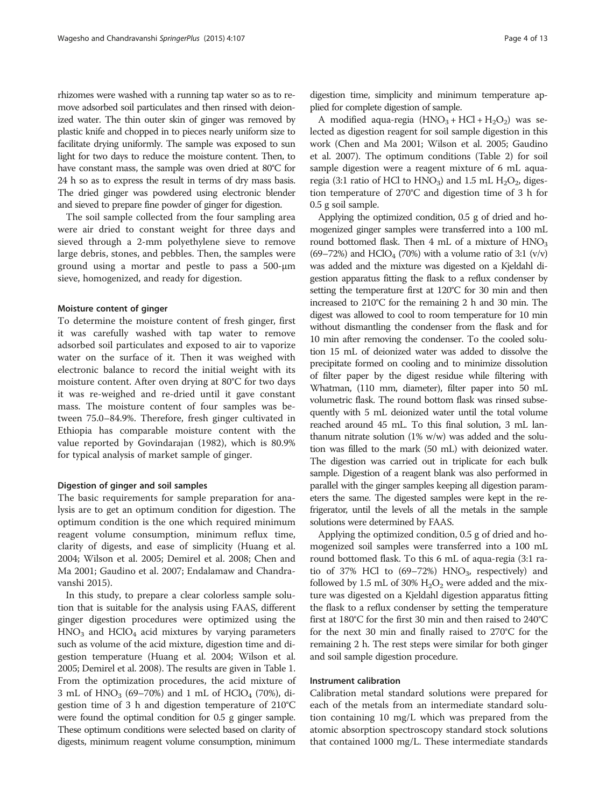rhizomes were washed with a running tap water so as to remove adsorbed soil particulates and then rinsed with deionized water. The thin outer skin of ginger was removed by plastic knife and chopped in to pieces nearly uniform size to facilitate drying uniformly. The sample was exposed to sun light for two days to reduce the moisture content. Then, to have constant mass, the sample was oven dried at 80°C for 24 h so as to express the result in terms of dry mass basis. The dried ginger was powdered using electronic blender and sieved to prepare fine powder of ginger for digestion.

The soil sample collected from the four sampling area were air dried to constant weight for three days and sieved through a 2-mm polyethylene sieve to remove large debris, stones, and pebbles. Then, the samples were ground using a mortar and pestle to pass a 500-μm sieve, homogenized, and ready for digestion.

#### Moisture content of ginger

To determine the moisture content of fresh ginger, first it was carefully washed with tap water to remove adsorbed soil particulates and exposed to air to vaporize water on the surface of it. Then it was weighed with electronic balance to record the initial weight with its moisture content. After oven drying at 80°C for two days it was re-weighed and re-dried until it gave constant mass. The moisture content of four samples was between 75.0–84.9%. Therefore, fresh ginger cultivated in Ethiopia has comparable moisture content with the value reported by Govindarajan ([1982](#page-12-0)), which is 80.9% for typical analysis of market sample of ginger.

#### Digestion of ginger and soil samples

The basic requirements for sample preparation for analysis are to get an optimum condition for digestion. The optimum condition is the one which required minimum reagent volume consumption, minimum reflux time, clarity of digests, and ease of simplicity (Huang et al. [2004](#page-12-0); Wilson et al. [2005;](#page-12-0) Demirel et al. [2008](#page-11-0); Chen and Ma [2001;](#page-11-0) Gaudino et al. [2007;](#page-12-0) Endalamaw and Chandravanshi [2015](#page-12-0)).

In this study, to prepare a clear colorless sample solution that is suitable for the analysis using FAAS, different ginger digestion procedures were optimized using the  $HNO<sub>3</sub>$  and  $HClO<sub>4</sub>$  acid mixtures by varying parameters such as volume of the acid mixture, digestion time and digestion temperature (Huang et al. [2004;](#page-12-0) Wilson et al. [2005;](#page-12-0) Demirel et al. [2008\)](#page-11-0). The results are given in Table [1](#page-4-0). From the optimization procedures, the acid mixture of 3 mL of  $HNO<sub>3</sub>$  (69–70%) and 1 mL of  $HClO<sub>4</sub>$  (70%), digestion time of 3 h and digestion temperature of 210°C were found the optimal condition for 0.5 g ginger sample. These optimum conditions were selected based on clarity of digests, minimum reagent volume consumption, minimum digestion time, simplicity and minimum temperature applied for complete digestion of sample.

A modified aqua-regia  $(HNO<sub>3</sub> + HCl + H<sub>2</sub>O<sub>2</sub>)$  was selected as digestion reagent for soil sample digestion in this work (Chen and Ma [2001;](#page-11-0) Wilson et al. [2005;](#page-12-0) Gaudino et al. [2007](#page-12-0)). The optimum conditions (Table [2](#page-4-0)) for soil sample digestion were a reagent mixture of 6 mL aquaregia (3:1 ratio of HCl to  $HNO<sub>3</sub>$ ) and 1.5 mL  $H<sub>2</sub>O<sub>2</sub>$ , digestion temperature of 270°C and digestion time of 3 h for 0.5 g soil sample.

Applying the optimized condition, 0.5 g of dried and homogenized ginger samples were transferred into a 100 mL round bottomed flask. Then  $4 \text{ mL of a mixture of HNO}_3$ (69–72%) and HClO<sub>4</sub> (70%) with a volume ratio of 3:1 (v/v) was added and the mixture was digested on a Kjeldahl digestion apparatus fitting the flask to a reflux condenser by setting the temperature first at 120°C for 30 min and then increased to 210°C for the remaining 2 h and 30 min. The digest was allowed to cool to room temperature for 10 min without dismantling the condenser from the flask and for 10 min after removing the condenser. To the cooled solution 15 mL of deionized water was added to dissolve the precipitate formed on cooling and to minimize dissolution of filter paper by the digest residue while filtering with Whatman, (110 mm, diameter), filter paper into 50 mL volumetric flask. The round bottom flask was rinsed subsequently with 5 mL deionized water until the total volume reached around 45 mL. To this final solution, 3 mL lanthanum nitrate solution (1% w/w) was added and the solution was filled to the mark (50 mL) with deionized water. The digestion was carried out in triplicate for each bulk sample. Digestion of a reagent blank was also performed in parallel with the ginger samples keeping all digestion parameters the same. The digested samples were kept in the refrigerator, until the levels of all the metals in the sample solutions were determined by FAAS.

Applying the optimized condition, 0.5 g of dried and homogenized soil samples were transferred into a 100 mL round bottomed flask. To this 6 mL of aqua-regia (3:1 ratio of 37% HCl to  $(69-72%)$  HNO<sub>3</sub>, respectively) and followed by 1.5 mL of 30%  $H_2O_2$  were added and the mixture was digested on a Kjeldahl digestion apparatus fitting the flask to a reflux condenser by setting the temperature first at 180°C for the first 30 min and then raised to 240°C for the next 30 min and finally raised to 270°C for the remaining 2 h. The rest steps were similar for both ginger and soil sample digestion procedure.

#### Instrument calibration

Calibration metal standard solutions were prepared for each of the metals from an intermediate standard solution containing 10 mg/L which was prepared from the atomic absorption spectroscopy standard stock solutions that contained 1000 mg/L. These intermediate standards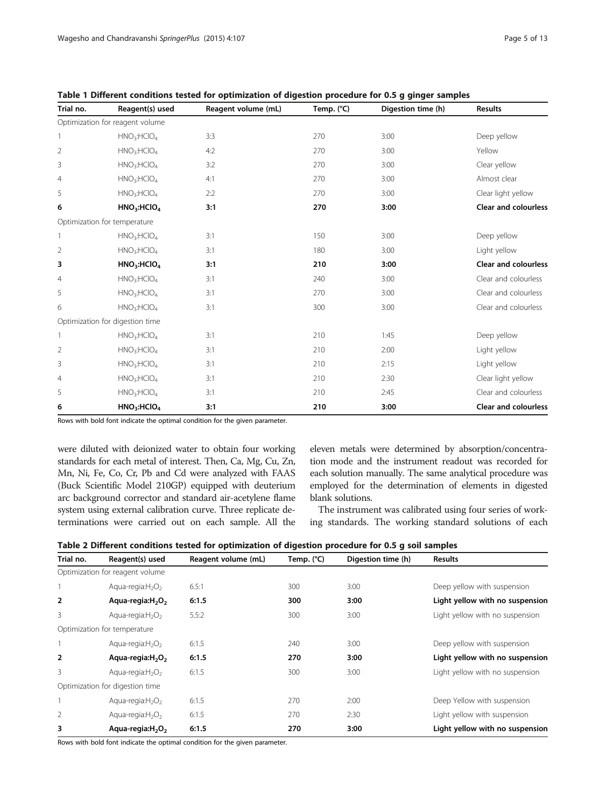| Trial no.      | Reagent(s) used                     | Reagent volume (mL) | Temp. (°C) | Digestion time (h) | <b>Results</b>              |
|----------------|-------------------------------------|---------------------|------------|--------------------|-----------------------------|
|                | Optimization for reagent volume     |                     |            |                    |                             |
| 1              | HNO <sub>3</sub> :HClO <sub>4</sub> | 3:3                 | 270        | 3:00               | Deep yellow                 |
| 2              | HNO <sub>3</sub> :HClO <sub>4</sub> | 4:2                 | 270        | 3:00               | Yellow                      |
| 3              | HNO <sub>3</sub> :HClO <sub>4</sub> | 3:2                 | 270        | 3:00               | Clear yellow                |
| $\overline{4}$ | HNO <sub>3</sub> :HClO <sub>4</sub> | 4:1                 | 270        | 3:00               | Almost clear                |
| 5              | HNO <sub>3</sub> :HClO <sub>4</sub> | 2:2                 | 270        | 3:00               | Clear light yellow          |
| 6              | HNO <sub>3</sub> :HClO <sub>4</sub> | 3:1                 | 270        | 3:00               | <b>Clear and colourless</b> |
|                | Optimization for temperature        |                     |            |                    |                             |
| 1              | HNO <sub>3</sub> :HClO <sub>4</sub> | 3:1                 | 150        | 3:00               | Deep yellow                 |
| 2              | HNO <sub>3</sub> :HClO <sub>4</sub> | 3:1                 | 180        | 3:00               | Light yellow                |
| 3              | HNO <sub>3</sub> :HClO <sub>4</sub> | 3:1                 | 210        | 3:00               | <b>Clear and colourless</b> |
| 4              | HNO <sub>3</sub> :HClO <sub>4</sub> | 3:1                 | 240        | 3:00               | Clear and colourless        |
| 5              | HNO <sub>3</sub> :HClO <sub>4</sub> | 3:1                 | 270        | 3:00               | Clear and colourless        |
| 6              | HNO <sub>3</sub> :HClO <sub>4</sub> | 3:1                 | 300        | 3:00               | Clear and colourless        |
|                | Optimization for digestion time     |                     |            |                    |                             |
| 1              | HNO <sub>3</sub> :HClO <sub>4</sub> | 3:1                 | 210        | 1:45               | Deep yellow                 |
| 2              | HNO <sub>3</sub> :HClO <sub>4</sub> | 3:1                 | 210        | 2:00               | Light yellow                |
| 3              | HNO <sub>3</sub> :HClO <sub>4</sub> | 3:1                 | 210        | 2:15               | Light yellow                |
| $\overline{4}$ | HNO <sub>3</sub> :HClO <sub>4</sub> | 3:1                 | 210        | 2:30               | Clear light yellow          |
| 5              | HNO <sub>3</sub> :HClO <sub>4</sub> | 3:1                 | 210        | 2:45               | Clear and colourless        |
| 6              | HNO <sub>3</sub> :HClO <sub>4</sub> | 3:1                 | 210        | 3:00               | <b>Clear and colourless</b> |

<span id="page-4-0"></span>Table 1 Different conditions tested for optimization of digestion procedure for 0.5 g ginger samples

Rows with bold font indicate the optimal condition for the given parameter.

were diluted with deionized water to obtain four working standards for each metal of interest. Then, Ca, Mg, Cu, Zn, Mn, Ni, Fe, Co, Cr, Pb and Cd were analyzed with FAAS (Buck Scientific Model 210GP) equipped with deuterium arc background corrector and standard air-acetylene flame system using external calibration curve. Three replicate determinations were carried out on each sample. All the eleven metals were determined by absorption/concentration mode and the instrument readout was recorded for each solution manually. The same analytical procedure was employed for the determination of elements in digested blank solutions.

The instrument was calibrated using four series of working standards. The working standard solutions of each

| Trial no.      | Reagent(s) used                 | Reagent volume (mL) | Temp. (°C) | Digestion time (h) | <b>Results</b>                  |
|----------------|---------------------------------|---------------------|------------|--------------------|---------------------------------|
|                | Optimization for reagent volume |                     |            |                    |                                 |
|                | Aqua-regia: $H_2O_2$            | 6.5:1               | 300        | 3:00               | Deep yellow with suspension     |
| $\overline{2}$ | Aqua-regia: $H_2O_2$            | 6:1.5               | 300        | 3:00               | Light yellow with no suspension |
| 3              | Aqua-regia: $H_2O_2$            | 5.5:2               | 300        | 3:00               | Light yellow with no suspension |
|                | Optimization for temperature    |                     |            |                    |                                 |
|                | Aqua-regia: $H_2O_2$            | 6:1.5               | 240        | 3:00               | Deep yellow with suspension     |
| $\overline{2}$ | Aqua-regia: $H_2O_2$            | 6:1.5               | 270        | 3:00               | Light yellow with no suspension |
| 3              | Agua-regia: $H_2O_2$            | 6:1.5               | 300        | 3:00               | Light yellow with no suspension |
|                | Optimization for digestion time |                     |            |                    |                                 |
|                | Aqua-regia: $H_2O_2$            | 6:1.5               | 270        | 2:00               | Deep Yellow with suspension     |
| 2              | Agua-regia: $H_2O_2$            | 6:1.5               | 270        | 2:30               | Light yellow with suspension    |
| 3              | Aqua-regia: $H_2O_2$            | 6:1.5               | 270        | 3:00               | Light yellow with no suspension |

Rows with bold font indicate the optimal condition for the given parameter.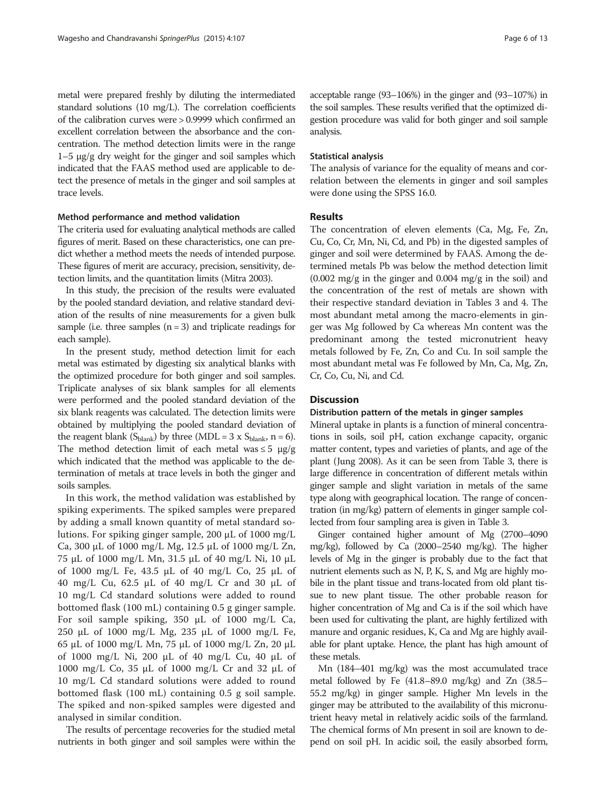metal were prepared freshly by diluting the intermediated standard solutions (10 mg/L). The correlation coefficients of the calibration curves were > 0.9999 which confirmed an excellent correlation between the absorbance and the concentration. The method detection limits were in the range 1–5 μg/g dry weight for the ginger and soil samples which indicated that the FAAS method used are applicable to detect the presence of metals in the ginger and soil samples at trace levels.

#### Method performance and method validation

The criteria used for evaluating analytical methods are called figures of merit. Based on these characteristics, one can predict whether a method meets the needs of intended purpose. These figures of merit are accuracy, precision, sensitivity, detection limits, and the quantitation limits (Mitra [2003](#page-12-0)).

In this study, the precision of the results were evaluated by the pooled standard deviation, and relative standard deviation of the results of nine measurements for a given bulk sample (i.e. three samples  $(n = 3)$  and triplicate readings for each sample).

In the present study, method detection limit for each metal was estimated by digesting six analytical blanks with the optimized procedure for both ginger and soil samples. Triplicate analyses of six blank samples for all elements were performed and the pooled standard deviation of the six blank reagents was calculated. The detection limits were obtained by multiplying the pooled standard deviation of the reagent blank ( $S_{\text{blank}}$ ) by three (MDL = 3 x  $S_{\text{blank}}$ , n = 6). The method detection limit of each metal was  $\leq 5 \text{ µg/g}$ which indicated that the method was applicable to the determination of metals at trace levels in both the ginger and soils samples.

In this work, the method validation was established by spiking experiments. The spiked samples were prepared by adding a small known quantity of metal standard solutions. For spiking ginger sample, 200 μL of 1000 mg/L Ca, 300 μL of 1000 mg/L Mg, 12.5 μL of 1000 mg/L Zn, 75 μL of 1000 mg/L Mn, 31.5 μL of 40 mg/L Ni, 10 μL of 1000 mg/L Fe, 43.5 μL of 40 mg/L Co, 25 μL of 40 mg/L Cu, 62.5 μL of 40 mg/L Cr and 30 μL of 10 mg/L Cd standard solutions were added to round bottomed flask (100 mL) containing 0.5 g ginger sample. For soil sample spiking, 350 μL of 1000 mg/L Ca, 250 μL of 1000 mg/L Mg, 235 μL of 1000 mg/L Fe, 65 μL of 1000 mg/L Mn, 75 μL of 1000 mg/L Zn, 20 μL of 1000 mg/L Ni, 200 μL of 40 mg/L Cu, 40 μL of 1000 mg/L Co, 35 μL of 1000 mg/L Cr and 32 μL of 10 mg/L Cd standard solutions were added to round bottomed flask (100 mL) containing 0.5 g soil sample. The spiked and non-spiked samples were digested and analysed in similar condition.

The results of percentage recoveries for the studied metal nutrients in both ginger and soil samples were within the

acceptable range (93–106%) in the ginger and (93–107%) in the soil samples. These results verified that the optimized digestion procedure was valid for both ginger and soil sample analysis.

#### Statistical analysis

The analysis of variance for the equality of means and correlation between the elements in ginger and soil samples were done using the SPSS 16.0.

#### Results

The concentration of eleven elements (Ca, Mg, Fe, Zn, Cu, Co, Cr, Mn, Ni, Cd, and Pb) in the digested samples of ginger and soil were determined by FAAS. Among the determined metals Pb was below the method detection limit (0.002 mg/g in the ginger and 0.004 mg/g in the soil) and the concentration of the rest of metals are shown with their respective standard deviation in Tables [3](#page-6-0) and [4](#page-6-0). The most abundant metal among the macro-elements in ginger was Mg followed by Ca whereas Mn content was the predominant among the tested micronutrient heavy metals followed by Fe, Zn, Co and Cu. In soil sample the most abundant metal was Fe followed by Mn, Ca, Mg, Zn, Cr, Co, Cu, Ni, and Cd.

# **Discussion**

#### Distribution pattern of the metals in ginger samples

Mineral uptake in plants is a function of mineral concentrations in soils, soil pH, cation exchange capacity, organic matter content, types and varieties of plants, and age of the plant (Jung [2008](#page-12-0)). As it can be seen from Table [3,](#page-6-0) there is large difference in concentration of different metals within ginger sample and slight variation in metals of the same type along with geographical location. The range of concentration (in mg/kg) pattern of elements in ginger sample collected from four sampling area is given in Table [3](#page-6-0).

Ginger contained higher amount of Mg (2700–4090 mg/kg), followed by Ca (2000–2540 mg/kg). The higher levels of Mg in the ginger is probably due to the fact that nutrient elements such as N, P, K, S, and Mg are highly mobile in the plant tissue and trans-located from old plant tissue to new plant tissue. The other probable reason for higher concentration of Mg and Ca is if the soil which have been used for cultivating the plant, are highly fertilized with manure and organic residues, K, Ca and Mg are highly available for plant uptake. Hence, the plant has high amount of these metals.

Mn (184–401 mg/kg) was the most accumulated trace metal followed by Fe (41.8–89.0 mg/kg) and Zn (38.5– 55.2 mg/kg) in ginger sample. Higher Mn levels in the ginger may be attributed to the availability of this micronutrient heavy metal in relatively acidic soils of the farmland. The chemical forms of Mn present in soil are known to depend on soil pH. In acidic soil, the easily absorbed form,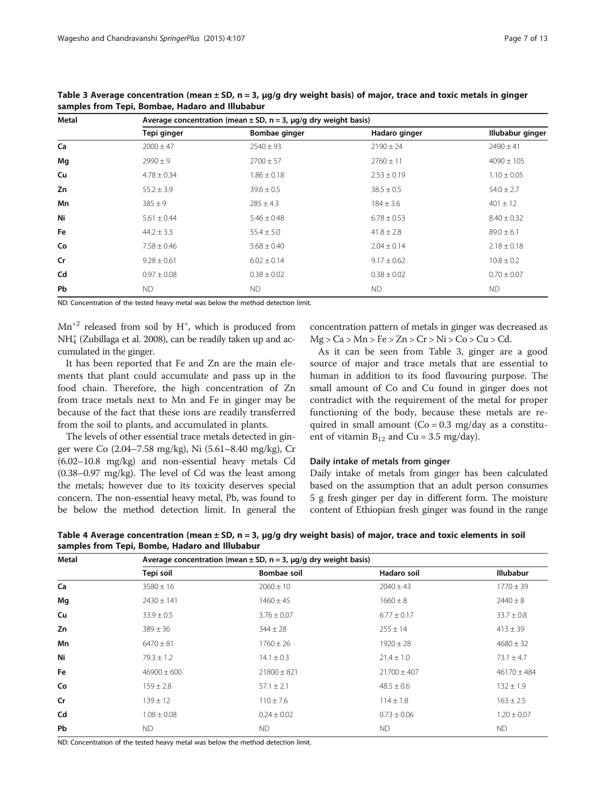| <b>Metal</b> |                 | Average concentration (mean $\pm$ SD, n = 3, µg/g dry weight basis) |                 |                  |
|--------------|-----------------|---------------------------------------------------------------------|-----------------|------------------|
|              | Tepi ginger     | Bombae ginger                                                       | Hadaro ginger   | Illubabur ginger |
| Ca           | $2000 \pm 47$   | $2540 \pm 93$                                                       | $2190 \pm 24$   | $2490 \pm 41$    |
| Mg           | $2990 \pm 9$    | $2700 \pm 57$                                                       | $2760 \pm 11$   | $4090 \pm 105$   |
| Cu           | $4.78 \pm 0.34$ | $1.86 \pm 0.18$                                                     | $2.53 \pm 0.19$ | $1.10 \pm 0.05$  |
| Zn           | $55.2 \pm 3.9$  | $39.6 \pm 0.5$                                                      | $38.5 \pm 0.5$  | $54.0 \pm 2.7$   |
| Mn           | $385 \pm 9$     | $285 \pm 4.3$                                                       | $184 \pm 3.6$   | $401 \pm 12$     |
| Ni           | $5.61 \pm 0.44$ | $5.46 \pm 0.48$                                                     | $6.78 \pm 0.53$ | $8.40 \pm 0.32$  |
| <b>Fe</b>    | $44.2 \pm 3.3$  | $55.4 \pm 5.0$                                                      | $41.8 \pm 2.8$  | $89.0 \pm 6.1$   |
| Co           | $7.58 \pm 0.46$ | $5.68 \pm 0.40$                                                     | $2.04 \pm 0.14$ | $2.18 \pm 0.18$  |
| Cr           | $9.28 \pm 0.61$ | $6.02 \pm 0.14$                                                     | $9.17 \pm 0.62$ | $10.8 \pm 0.2$   |
| Cd           | $0.97 \pm 0.08$ | $0.38 \pm 0.02$                                                     | $0.38 \pm 0.02$ | $0.70 \pm 0.07$  |
| <b>Pb</b>    | <b>ND</b>       | <b>ND</b>                                                           | <b>ND</b>       | <b>ND</b>        |

<span id="page-6-0"></span>Table 3 Average concentration (mean  $\pm$  SD, n = 3,  $\mu$ g/g dry weight basis) of major, trace and toxic metals in ginger samples from Tepi, Bombae, Hadaro and Illubabur

ND: Concentration of the tested heavy metal was below the method detection limit.

 $Mn^{+2}$  released from soil by H<sup>+</sup>, which is produced from  $NH<sub>4</sub><sup>+</sup>$  (Zubillaga et al. [2008](#page-12-0)), can be readily taken up and accumulated in the ginger.

It has been reported that Fe and Zn are the main elements that plant could accumulate and pass up in the food chain. Therefore, the high concentration of Zn from trace metals next to Mn and Fe in ginger may be because of the fact that these ions are readily transferred from the soil to plants, and accumulated in plants.

The levels of other essential trace metals detected in ginger were Co (2.04–7.58 mg/kg), Ni (5.61–8.40 mg/kg), Cr (6.02–10.8 mg/kg) and non-essential heavy metals Cd (0.38–0.97 mg/kg). The level of Cd was the least among the metals; however due to its toxicity deserves special concern. The non-essential heavy metal, Pb, was found to be below the method detection limit. In general the

concentration pattern of metals in ginger was decreased as  $Mg > Ca > Mn > Fe > Zn > Cr > Ni > Co > Cu > Cd.$ 

As it can be seen from Table 3, ginger are a good source of major and trace metals that are essential to human in addition to its food flavouring purpose. The small amount of Co and Cu found in ginger does not contradict with the requirement of the metal for proper functioning of the body, because these metals are required in small amount  $(Co = 0.3 \text{ mg/day}$  as a constituent of vitamin  $B_{12}$  and Cu = 3.5 mg/day).

#### Daily intake of metals from ginger

Daily intake of metals from ginger has been calculated based on the assumption that an adult person consumes 5 g fresh ginger per day in different form. The moisture content of Ethiopian fresh ginger was found in the range

Table 4 Average concentration (mean  $\pm$  SD, n = 3, µg/g dry weight basis) of major, trace and toxic elements in soil samples from Tepi, Bombe, Hadaro and Illubabur

| Metal     |                 | Average concentration (mean $\pm$ SD, n = 3, $\mu$ g/g dry weight basis) |                 |                  |
|-----------|-----------------|--------------------------------------------------------------------------|-----------------|------------------|
|           | Tepi soil       | Bombae soil                                                              | Hadaro soil     | <b>Illubabur</b> |
| Ca        | $3580 \pm 16$   | $2060 \pm 10$                                                            | $2040 \pm 43$   | $1770 \pm 39$    |
| Mg        | $2430 \pm 141$  | $1460 \pm 45$                                                            | $1660 \pm 8$    | $2440 \pm 8$     |
| Cu        | $33.9 \pm 0.5$  | $3.76 \pm 0.07$                                                          | $6.77 \pm 0.17$ | $33.7 \pm 0.8$   |
| Zn        | $389 \pm 36$    | $344 \pm 28$                                                             | $255 \pm 14$    | $413 \pm 39$     |
| Mn        | $6470 \pm 81$   | $1760 \pm 26$                                                            | $1920 \pm 28$   | $4680 \pm 32$    |
| Ni        | $79.3 \pm 1.2$  | $14.1 \pm 0.3$                                                           | $21.4 \pm 1.0$  | $73.1 \pm 4.7$   |
| <b>Fe</b> | $46900 \pm 600$ | $21800 \pm 821$                                                          | $21700 \pm 407$ | $46170 \pm 484$  |
| Co        | $159 \pm 2.8$   | $57.1 \pm 2.1$                                                           | $48.5 \pm 0.6$  | $132 \pm 1.9$    |
| Cr        | $139 \pm 12$    | $110 \pm 7.6$                                                            | $114 \pm 1.8$   | $163 \pm 2.5$    |
| Cd        | $1.08 \pm 0.08$ | $0.24 \pm 0.02$                                                          | $0.73 \pm 0.06$ | $1.20 \pm 0.07$  |
| <b>Pb</b> | ND.             | <b>ND</b>                                                                | <b>ND</b>       | <b>ND</b>        |

ND: Concentration of the tested heavy metal was below the method detection limit.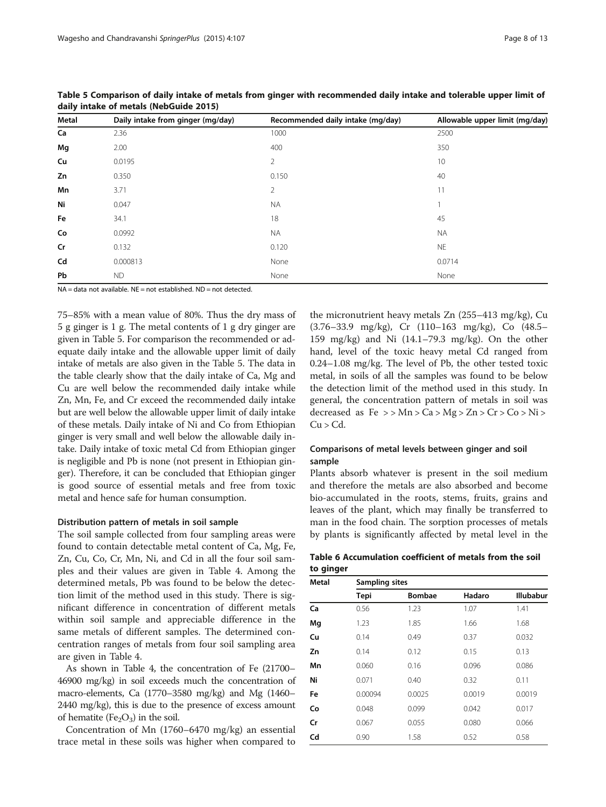| Metal | Daily intake from ginger (mg/day) | Recommended daily intake (mg/day) | Allowable upper limit (mg/day) |
|-------|-----------------------------------|-----------------------------------|--------------------------------|
| Ca    | 2.36                              | 1000                              | 2500                           |
| Mg    | 2.00                              | 400                               | 350                            |
| Cu    | 0.0195                            | 2                                 | 10                             |
| Zn    | 0.350                             | 0.150                             | 40                             |
| Mn    | 3.71                              | $\overline{2}$                    | 11                             |
| Ni    | 0.047                             | <b>NA</b>                         |                                |
| Fe    | 34.1                              | 18                                | 45                             |
| Co    | 0.0992                            | <b>NA</b>                         | <b>NA</b>                      |
| Cr    | 0.132                             | 0.120                             | <b>NE</b>                      |
| Cd    | 0.000813                          | None                              | 0.0714                         |
| Pb    | <b>ND</b>                         | None                              | None                           |

<span id="page-7-0"></span>Table 5 Comparison of daily intake of metals from ginger with recommended daily intake and tolerable upper limit of daily intake of metals (NebGuide [2015](#page-12-0))

 $NA = data$  not available. NE = not established. ND = not detected.

75–85% with a mean value of 80%. Thus the dry mass of 5 g ginger is 1 g. The metal contents of 1 g dry ginger are given in Table 5. For comparison the recommended or adequate daily intake and the allowable upper limit of daily intake of metals are also given in the Table 5. The data in the table clearly show that the daily intake of Ca, Mg and Cu are well below the recommended daily intake while Zn, Mn, Fe, and Cr exceed the recommended daily intake but are well below the allowable upper limit of daily intake of these metals. Daily intake of Ni and Co from Ethiopian ginger is very small and well below the allowable daily intake. Daily intake of toxic metal Cd from Ethiopian ginger is negligible and Pb is none (not present in Ethiopian ginger). Therefore, it can be concluded that Ethiopian ginger is good source of essential metals and free from toxic metal and hence safe for human consumption.

#### Distribution pattern of metals in soil sample

The soil sample collected from four sampling areas were found to contain detectable metal content of Ca, Mg, Fe, Zn, Cu, Co, Cr, Mn, Ni, and Cd in all the four soil samples and their values are given in Table [4](#page-6-0). Among the determined metals, Pb was found to be below the detection limit of the method used in this study. There is significant difference in concentration of different metals within soil sample and appreciable difference in the same metals of different samples. The determined concentration ranges of metals from four soil sampling area are given in Table [4](#page-6-0).

As shown in Table [4](#page-6-0), the concentration of Fe (21700– 46900 mg/kg) in soil exceeds much the concentration of macro-elements, Ca (1770–3580 mg/kg) and Mg (1460– 2440 mg/kg), this is due to the presence of excess amount of hematite (Fe<sub>2</sub>O<sub>3</sub>) in the soil.

Concentration of Mn (1760–6470 mg/kg) an essential trace metal in these soils was higher when compared to

the micronutrient heavy metals Zn (255–413 mg/kg), Cu (3.76–33.9 mg/kg), Cr (110–163 mg/kg), Co (48.5– 159 mg/kg) and Ni (14.1–79.3 mg/kg). On the other hand, level of the toxic heavy metal Cd ranged from 0.24–1.08 mg/kg. The level of Pb, the other tested toxic metal, in soils of all the samples was found to be below the detection limit of the method used in this study. In general, the concentration pattern of metals in soil was decreased as  $Fe \gg Mn > Ca > Mg > Zn > Cr > Co > Ni >$  $Cu > Cd.$ 

# Comparisons of metal levels between ginger and soil sample

Plants absorb whatever is present in the soil medium and therefore the metals are also absorbed and become bio-accumulated in the roots, stems, fruits, grains and leaves of the plant, which may finally be transferred to man in the food chain. The sorption processes of metals by plants is significantly affected by metal level in the

Table 6 Accumulation coefficient of metals from the soil to ginger

| Metal | Sampling sites |               |        |                  |
|-------|----------------|---------------|--------|------------------|
|       | <b>Tepi</b>    | <b>Bombae</b> | Hadaro | <b>Illubabur</b> |
| Ca    | 0.56           | 1.23          | 1.07   | 1.41             |
| Mg    | 1.23           | 1.85          | 1.66   | 1.68             |
| Cu    | 0.14           | 0.49          | 0.37   | 0.032            |
| Zn    | 0.14           | 0.12          | 0.15   | 0.13             |
| Mn    | 0.060          | 0.16          | 0.096  | 0.086            |
| Ni    | 0.071          | 0.40          | 0.32   | 0.11             |
| Fe    | 0.00094        | 0.0025        | 0.0019 | 0.0019           |
| Co    | 0.048          | 0.099         | 0.042  | 0.017            |
| Cr    | 0.067          | 0.055         | 0.080  | 0.066            |
| Cd    | 0.90           | 1.58          | 0.52   | 0.58             |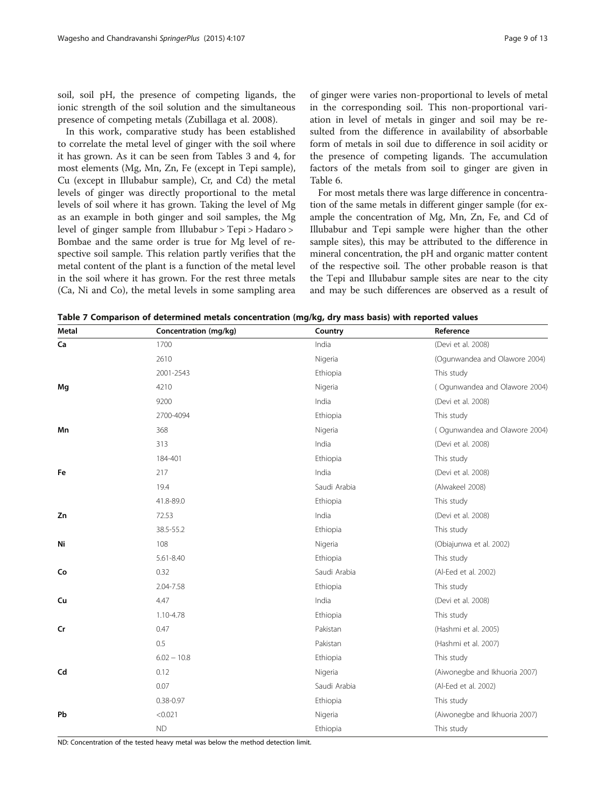<span id="page-8-0"></span>soil, soil pH, the presence of competing ligands, the ionic strength of the soil solution and the simultaneous presence of competing metals (Zubillaga et al. [2008\)](#page-12-0).

In this work, comparative study has been established to correlate the metal level of ginger with the soil where it has grown. As it can be seen from Tables [3](#page-6-0) and [4](#page-6-0), for most elements (Mg, Mn, Zn, Fe (except in Tepi sample), Cu (except in Illubabur sample), Cr, and Cd) the metal levels of ginger was directly proportional to the metal levels of soil where it has grown. Taking the level of Mg as an example in both ginger and soil samples, the Mg level of ginger sample from Illubabur > Tepi > Hadaro > Bombae and the same order is true for Mg level of respective soil sample. This relation partly verifies that the metal content of the plant is a function of the metal level in the soil where it has grown. For the rest three metals (Ca, Ni and Co), the metal levels in some sampling area

of ginger were varies non-proportional to levels of metal in the corresponding soil. This non-proportional variation in level of metals in ginger and soil may be resulted from the difference in availability of absorbable form of metals in soil due to difference in soil acidity or the presence of competing ligands. The accumulation factors of the metals from soil to ginger are given in Table [6.](#page-7-0)

For most metals there was large difference in concentration of the same metals in different ginger sample (for example the concentration of Mg, Mn, Zn, Fe, and Cd of Illubabur and Tepi sample were higher than the other sample sites), this may be attributed to the difference in mineral concentration, the pH and organic matter content of the respective soil. The other probable reason is that the Tepi and Illubabur sample sites are near to the city and may be such differences are observed as a result of

| Table 7 Comparison of determined metals concentration (mg/kg, dry mass basis) with reported values |  |  |  |
|----------------------------------------------------------------------------------------------------|--|--|--|
|----------------------------------------------------------------------------------------------------|--|--|--|

| <b>Metal</b> | Concentration (mg/kg) | Country      | Reference                     |
|--------------|-----------------------|--------------|-------------------------------|
| Ca           | 1700                  | India        | (Devi et al. 2008)            |
|              | 2610                  | Nigeria      | (Ogunwandea and Olawore 2004) |
|              | 2001-2543             | Ethiopia     | This study                    |
| Mg           | 4210                  | Nigeria      | (Ogunwandea and Olawore 2004) |
|              | 9200                  | India        | (Devi et al. 2008)            |
|              | 2700-4094             | Ethiopia     | This study                    |
| Mn           | 368                   | Nigeria      | (Ogunwandea and Olawore 2004) |
|              | 313                   | India        | (Devi et al. 2008)            |
|              | 184-401               | Ethiopia     | This study                    |
| Fe           | 217                   | India        | (Devi et al. 2008)            |
|              | 19.4                  | Saudi Arabia | (Alwakeel 2008)               |
|              | 41.8-89.0             | Ethiopia     | This study                    |
| Zn           | 72.53                 | India        | (Devi et al. 2008)            |
|              | 38.5-55.2             | Ethiopia     | This study                    |
| Ni           | 108                   | Nigeria      | (Obiajunwa et al. 2002)       |
|              | 5.61-8.40             | Ethiopia     | This study                    |
| Co           | 0.32                  | Saudi Arabia | (Al-Eed et al. 2002)          |
|              | 2.04-7.58             | Ethiopia     | This study                    |
| Cu           | 4.47                  | India        | (Devi et al. 2008)            |
|              | 1.10-4.78             | Ethiopia     | This study                    |
| Cr           | 0.47                  | Pakistan     | (Hashmi et al. 2005)          |
|              | 0.5                   | Pakistan     | (Hashmi et al. 2007)          |
|              | $6.02 - 10.8$         | Ethiopia     | This study                    |
| Cd           | 0.12                  | Nigeria      | (Aiwonegbe and Ikhuoria 2007) |
|              | 0.07                  | Saudi Arabia | (Al-Eed et al. 2002)          |
|              | $0.38 - 0.97$         | Ethiopia     | This study                    |
| Pb           | < 0.021               | Nigeria      | (Aiwonegbe and Ikhuoria 2007) |
|              | <b>ND</b>             | Ethiopia     | This study                    |

ND: Concentration of the tested heavy metal was below the method detection limit.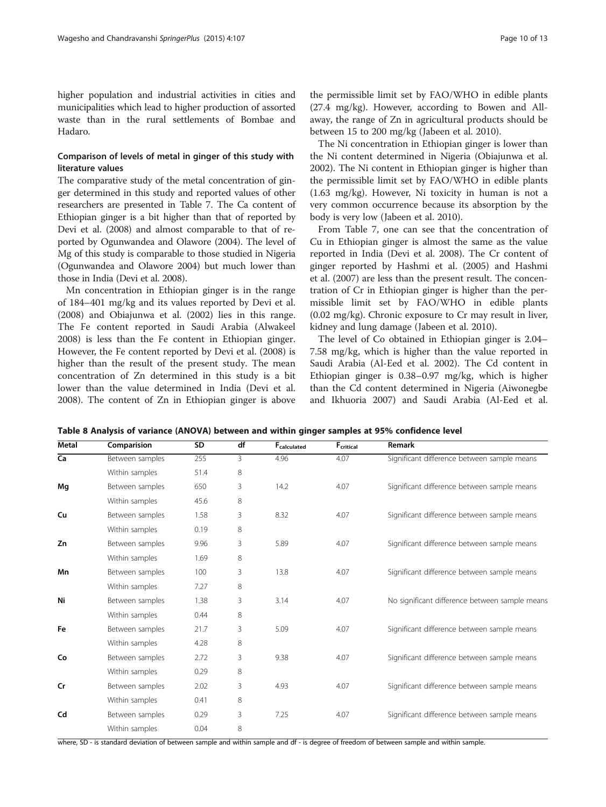<span id="page-9-0"></span>higher population and industrial activities in cities and municipalities which lead to higher production of assorted waste than in the rural settlements of Bombae and Hadaro.

# Comparison of levels of metal in ginger of this study with literature values

The comparative study of the metal concentration of ginger determined in this study and reported values of other researchers are presented in Table [7](#page-8-0). The Ca content of Ethiopian ginger is a bit higher than that of reported by Devi et al. [\(2008](#page-11-0)) and almost comparable to that of reported by Ogunwandea and Olawore [\(2004](#page-12-0)). The level of Mg of this study is comparable to those studied in Nigeria (Ogunwandea and Olawore [2004\)](#page-12-0) but much lower than those in India (Devi et al. [2008\)](#page-11-0).

Mn concentration in Ethiopian ginger is in the range of 184–401 mg/kg and its values reported by Devi et al. ([2008](#page-11-0)) and Obiajunwa et al. ([2002](#page-12-0)) lies in this range. The Fe content reported in Saudi Arabia (Alwakeel [2008](#page-11-0)) is less than the Fe content in Ethiopian ginger. However, the Fe content reported by Devi et al. [\(2008\)](#page-11-0) is higher than the result of the present study. The mean concentration of Zn determined in this study is a bit lower than the value determined in India (Devi et al. [2008](#page-11-0)). The content of Zn in Ethiopian ginger is above the permissible limit set by FAO/WHO in edible plants (27.4 mg/kg). However, according to Bowen and Allaway, the range of Zn in agricultural products should be between 15 to 200 mg/kg (Jabeen et al. [2010\)](#page-12-0).

The Ni concentration in Ethiopian ginger is lower than the Ni content determined in Nigeria (Obiajunwa et al. [2002](#page-12-0)). The Ni content in Ethiopian ginger is higher than the permissible limit set by FAO/WHO in edible plants (1.63 mg/kg). However, Ni toxicity in human is not a very common occurrence because its absorption by the body is very low (Jabeen et al. [2010\)](#page-12-0).

From Table [7](#page-8-0), one can see that the concentration of Cu in Ethiopian ginger is almost the same as the value reported in India (Devi et al. [2008](#page-11-0)). The Cr content of ginger reported by Hashmi et al. [\(2005\)](#page-12-0) and Hashmi et al. [\(2007\)](#page-12-0) are less than the present result. The concentration of Cr in Ethiopian ginger is higher than the permissible limit set by FAO/WHO in edible plants (0.02 mg/kg). Chronic exposure to Cr may result in liver, kidney and lung damage (Jabeen et al. [2010](#page-12-0)).

The level of Co obtained in Ethiopian ginger is 2.04– 7.58 mg/kg, which is higher than the value reported in Saudi Arabia (Al-Eed et al. [2002\)](#page-11-0). The Cd content in Ethiopian ginger is 0.38–0.97 mg/kg, which is higher than the Cd content determined in Nigeria (Aiwonegbe and Ikhuoria [2007](#page-11-0)) and Saudi Arabia (Al-Eed et al.

| Table 8 Analysis of variance (ANOVA) between and within ginger samples at 95% confidence level |  |  |  |
|------------------------------------------------------------------------------------------------|--|--|--|
|------------------------------------------------------------------------------------------------|--|--|--|

| Metal | Comparision     | SD   | df | <b>F</b> <sub>calculated</sub> | $F_{\text{critical}}$ | Remark                                         |
|-------|-----------------|------|----|--------------------------------|-----------------------|------------------------------------------------|
| Ca    | Between samples | 255  | 3  | 4.96                           | 4.07                  | Significant difference between sample means    |
|       | Within samples  | 51.4 | 8  |                                |                       |                                                |
| Mg    | Between samples | 650  | 3  | 14.2                           | 4.07                  | Significant difference between sample means    |
|       | Within samples  | 45.6 | 8  |                                |                       |                                                |
| Cu    | Between samples | 1.58 | 3  | 8.32                           | 4.07                  | Significant difference between sample means    |
|       | Within samples  | 0.19 | 8  |                                |                       |                                                |
| Zn    | Between samples | 9.96 | 3  | 5.89                           | 4.07                  | Significant difference between sample means    |
|       | Within samples  | 1.69 | 8  |                                |                       |                                                |
| Mn    | Between samples | 100  | 3  | 13.8                           | 4.07                  | Significant difference between sample means    |
|       | Within samples  | 7.27 | 8  |                                |                       |                                                |
| Ni    | Between samples | 1.38 | 3  | 3.14                           | 4.07                  | No significant difference between sample means |
|       | Within samples  | 0.44 | 8  |                                |                       |                                                |
| Fe    | Between samples | 21.7 | 3  | 5.09                           | 4.07                  | Significant difference between sample means    |
|       | Within samples  | 4.28 | 8  |                                |                       |                                                |
| Co    | Between samples | 2.72 | 3  | 9.38                           | 4.07                  | Significant difference between sample means    |
|       | Within samples  | 0.29 | 8  |                                |                       |                                                |
| Cr    | Between samples | 2.02 | 3  | 4.93                           | 4.07                  | Significant difference between sample means    |
|       | Within samples  | 0.41 | 8  |                                |                       |                                                |
| Cd    | Between samples | 0.29 | 3  | 7.25                           | 4.07                  | Significant difference between sample means    |
|       | Within samples  | 0.04 | 8  |                                |                       |                                                |
|       |                 |      |    |                                |                       |                                                |

where, SD - is standard deviation of between sample and within sample and df - is degree of freedom of between sample and within sample.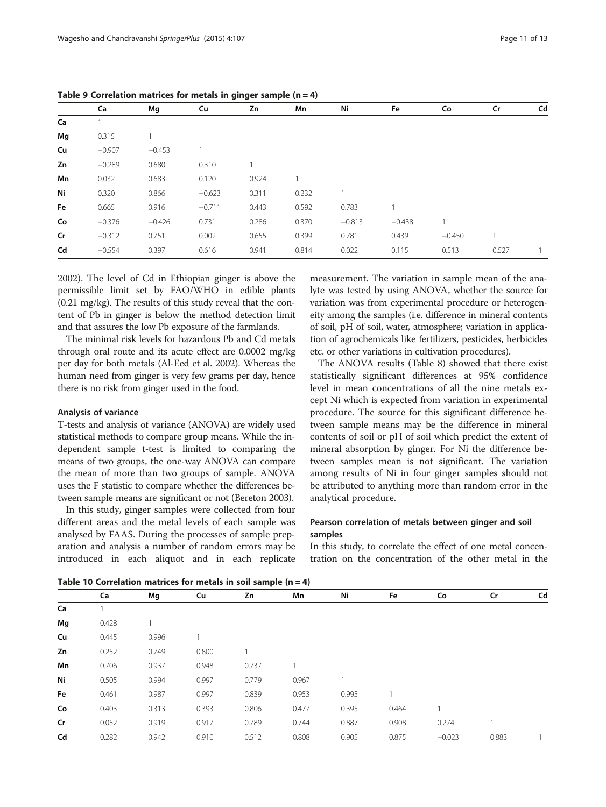|    |          |          |          | <i>----</i> |       |          |          |          |       |    |
|----|----------|----------|----------|-------------|-------|----------|----------|----------|-------|----|
|    | Ca       | Mg       | Cu       | Zn          | Mn    | Ni       | Fe       | Co       | Cr    | Cd |
| Ca |          |          |          |             |       |          |          |          |       |    |
| Mg | 0.315    |          |          |             |       |          |          |          |       |    |
| Cu | $-0.907$ | $-0.453$ |          |             |       |          |          |          |       |    |
| Zn | $-0.289$ | 0.680    | 0.310    |             |       |          |          |          |       |    |
| Mn | 0.032    | 0.683    | 0.120    | 0.924       |       |          |          |          |       |    |
| Ni | 0.320    | 0.866    | $-0.623$ | 0.311       | 0.232 |          |          |          |       |    |
| Fe | 0.665    | 0.916    | $-0.711$ | 0.443       | 0.592 | 0.783    |          |          |       |    |
| Co | $-0.376$ | $-0.426$ | 0.731    | 0.286       | 0.370 | $-0.813$ | $-0.438$ |          |       |    |
| Cr | $-0.312$ | 0.751    | 0.002    | 0.655       | 0.399 | 0.781    | 0.439    | $-0.450$ |       |    |
| Cd | $-0.554$ | 0.397    | 0.616    | 0.941       | 0.814 | 0.022    | 0.115    | 0.513    | 0.527 |    |

<span id="page-10-0"></span>Table 9 Correlation matrices for metals in ginger sample  $(n = 4)$ 

[2002](#page-11-0)). The level of Cd in Ethiopian ginger is above the permissible limit set by FAO/WHO in edible plants (0.21 mg/kg). The results of this study reveal that the content of Pb in ginger is below the method detection limit and that assures the low Pb exposure of the farmlands.

The minimal risk levels for hazardous Pb and Cd metals through oral route and its acute effect are 0.0002 mg/kg per day for both metals (Al-Eed et al. [2002](#page-11-0)). Whereas the human need from ginger is very few grams per day, hence there is no risk from ginger used in the food.

#### Analysis of variance

T-tests and analysis of variance (ANOVA) are widely used statistical methods to compare group means. While the independent sample t-test is limited to comparing the means of two groups, the one-way ANOVA can compare the mean of more than two groups of sample. ANOVA uses the F statistic to compare whether the differences between sample means are significant or not (Bereton [2003\)](#page-11-0).

In this study, ginger samples were collected from four different areas and the metal levels of each sample was analysed by FAAS. During the processes of sample preparation and analysis a number of random errors may be introduced in each aliquot and in each replicate

measurement. The variation in sample mean of the analyte was tested by using ANOVA, whether the source for variation was from experimental procedure or heterogeneity among the samples (i.e. difference in mineral contents of soil, pH of soil, water, atmosphere; variation in application of agrochemicals like fertilizers, pesticides, herbicides etc. or other variations in cultivation procedures).

The ANOVA results (Table [8\)](#page-9-0) showed that there exist statistically significant differences at 95% confidence level in mean concentrations of all the nine metals except Ni which is expected from variation in experimental procedure. The source for this significant difference between sample means may be the difference in mineral contents of soil or pH of soil which predict the extent of mineral absorption by ginger. For Ni the difference between samples mean is not significant. The variation among results of Ni in four ginger samples should not be attributed to anything more than random error in the analytical procedure.

# Pearson correlation of metals between ginger and soil samples

In this study, to correlate the effect of one metal concentration on the concentration of the other metal in the

Table 10 Correlation matrices for metals in soil sample (n = 4)

| Table TO Correlation matrices for metals in soil sample $(n = 4)$ |       |       |       |       |       |       |       |          |              |    |
|-------------------------------------------------------------------|-------|-------|-------|-------|-------|-------|-------|----------|--------------|----|
|                                                                   | Ca    | Mg    | Cu    | Zn    | Mn    | Ni    | Fe    | Co       | Cr           | Cd |
| Ca                                                                |       |       |       |       |       |       |       |          |              |    |
| Mg                                                                | 0.428 |       |       |       |       |       |       |          |              |    |
| Cu                                                                | 0.445 | 0.996 |       |       |       |       |       |          |              |    |
| Zn                                                                | 0.252 | 0.749 | 0.800 |       |       |       |       |          |              |    |
| Mn                                                                | 0.706 | 0.937 | 0.948 | 0.737 |       |       |       |          |              |    |
| Ni                                                                | 0.505 | 0.994 | 0.997 | 0.779 | 0.967 |       |       |          |              |    |
| Fe                                                                | 0.461 | 0.987 | 0.997 | 0.839 | 0.953 | 0.995 |       |          |              |    |
| Co                                                                | 0.403 | 0.313 | 0.393 | 0.806 | 0.477 | 0.395 | 0.464 |          |              |    |
| Cr                                                                | 0.052 | 0.919 | 0.917 | 0.789 | 0.744 | 0.887 | 0.908 | 0.274    | $\mathbf{1}$ |    |
| Cd                                                                | 0.282 | 0.942 | 0.910 | 0.512 | 0.808 | 0.905 | 0.875 | $-0.023$ | 0.883        |    |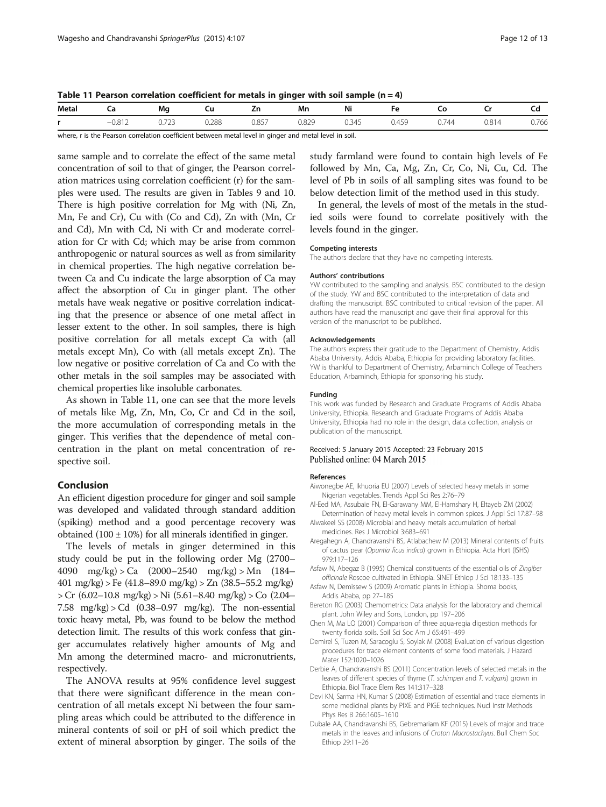<span id="page-11-0"></span>Table 11 Pearson correlation coefficient for metals in ginger with soil sample  $(n = 4)$ 

| Metal | cа                                                                                                              | Mg              |                      | ۷'n   | Mn             | Ni    | HΑ    |              |       | τu    |
|-------|-----------------------------------------------------------------------------------------------------------------|-----------------|----------------------|-------|----------------|-------|-------|--------------|-------|-------|
|       | 0.812<br>-                                                                                                      | כרד ו<br>U.I LJ | <b>J.288</b><br>---- | 0.857 | 0.829<br>----- | 0.345 | 0.459 | ).744<br>U.I | 0.814 | 0.766 |
|       | the contract of the contract of the contract of the contract of the contract of the contract of the contract of |                 |                      |       |                |       |       |              |       |       |

where, r is the Pearson correlation coefficient between metal level in ginger and metal level in soil.

same sample and to correlate the effect of the same metal concentration of soil to that of ginger, the Pearson correlation matrices using correlation coefficient (r) for the samples were used. The results are given in Tables [9](#page-10-0) and [10](#page-10-0). There is high positive correlation for Mg with (Ni, Zn, Mn, Fe and Cr), Cu with (Co and Cd), Zn with (Mn, Cr and Cd), Mn with Cd, Ni with Cr and moderate correlation for Cr with Cd; which may be arise from common anthropogenic or natural sources as well as from similarity in chemical properties. The high negative correlation between Ca and Cu indicate the large absorption of Ca may affect the absorption of Cu in ginger plant. The other metals have weak negative or positive correlation indicating that the presence or absence of one metal affect in lesser extent to the other. In soil samples, there is high positive correlation for all metals except Ca with (all metals except Mn), Co with (all metals except Zn). The low negative or positive correlation of Ca and Co with the other metals in the soil samples may be associated with chemical properties like insoluble carbonates.

As shown in Table 11, one can see that the more levels of metals like Mg, Zn, Mn, Co, Cr and Cd in the soil, the more accumulation of corresponding metals in the ginger. This verifies that the dependence of metal concentration in the plant on metal concentration of respective soil.

# Conclusion

An efficient digestion procedure for ginger and soil sample was developed and validated through standard addition (spiking) method and a good percentage recovery was obtained  $(100 \pm 10\%)$  for all minerals identified in ginger.

The levels of metals in ginger determined in this study could be put in the following order Mg (2700– 4090 mg/kg) > Ca (2000–2540 mg/kg) > Mn (184– 401 mg/kg) > Fe (41.8–89.0 mg/kg) > Zn (38.5–55.2 mg/kg) > Cr (6.02–10.8 mg/kg) > Ni (5.61–8.40 mg/kg) > Co (2.04– 7.58 mg/kg $>$  Cd (0.38–0.97 mg/kg). The non-essential toxic heavy metal, Pb, was found to be below the method detection limit. The results of this work confess that ginger accumulates relatively higher amounts of Mg and Mn among the determined macro- and micronutrients, respectively.

The ANOVA results at 95% confidence level suggest that there were significant difference in the mean concentration of all metals except Ni between the four sampling areas which could be attributed to the difference in mineral contents of soil or pH of soil which predict the extent of mineral absorption by ginger. The soils of the

study farmland were found to contain high levels of Fe followed by Mn, Ca, Mg, Zn, Cr, Co, Ni, Cu, Cd. The level of Pb in soils of all sampling sites was found to be below detection limit of the method used in this study.

In general, the levels of most of the metals in the studied soils were found to correlate positively with the levels found in the ginger.

#### Competing interests

The authors declare that they have no competing interests.

#### Authors' contributions

YW contributed to the sampling and analysis. BSC contributed to the design of the study. YW and BSC contributed to the interpretation of data and drafting the manuscript. BSC contributed to critical revision of the paper. All authors have read the manuscript and gave their final approval for this version of the manuscript to be published.

#### Acknowledgements

The authors express their gratitude to the Department of Chemistry, Addis Ababa University, Addis Ababa, Ethiopia for providing laboratory facilities. YW is thankful to Department of Chemistry, Arbaminch College of Teachers Education, Arbaminch, Ethiopia for sponsoring his study.

#### Funding

This work was funded by Research and Graduate Programs of Addis Ababa University, Ethiopia. Research and Graduate Programs of Addis Ababa University, Ethiopia had no role in the design, data collection, analysis or publication of the manuscript.

#### Received: 5 January 2015 Accepted: 23 February 2015 Published online: 04 March 2015

#### References

- Aiwonegbe AE, Ikhuoria EU (2007) Levels of selected heavy metals in some Nigerian vegetables. Trends Appl Sci Res 2:76–79
- Al-Eed MA, Assubaie FN, El-Garawany MM, El-Hamshary H, Eltayeb ZM (2002) Determination of heavy metal levels in common spices. J Appl Sci 17:87–98
- Alwakeel SS (2008) Microbial and heavy metals accumulation of herbal medicines. Res J Microbiol 3:683–691
- Aregahegn A, Chandravanshi BS, Atlabachew M (2013) Mineral contents of fruits of cactus pear (Opuntia ficus indica) grown in Ethiopia. Acta Hort (ISHS) 979:117–126
- Asfaw N, Abegaz B (1995) Chemical constituents of the essential oils of Zingiber officinale Roscoe cultivated in Ethiopia. SINET Ethiop J Sci 18:133–135
- Asfaw N, Demissew S (2009) Aromatic plants in Ethiopia. Shoma books, Addis Ababa, pp 27–185
- Bereton RG (2003) Chemometrics: Data analysis for the laboratory and chemical plant. John Wiley and Sons, London, pp 197–206
- Chen M, Ma LQ (2001) Comparison of three aqua-regia digestion methods for twenty florida soils. Soil Sci Soc Am J 65:491–499
- Demirel S, Tuzen M, Saracoglu S, Soylak M (2008) Evaluation of various digestion procedures for trace element contents of some food materials. J Hazard Mater 152:1020–1026
- Derbie A, Chandravanshi BS (2011) Concentration levels of selected metals in the leaves of different species of thyme (T. schimperi and T. vulgaris) grown in Ethiopia. Biol Trace Elem Res 141:317–328
- Devi KN, Sarma HN, Kumar S (2008) Estimation of essential and trace elements in some medicinal plants by PIXE and PIGE techniques. Nucl Instr Methods Phys Res B 266:1605–1610
- Dubale AA, Chandravanshi BS, Gebremariam KF (2015) Levels of major and trace metals in the leaves and infusions of Croton Macrostachyus. Bull Chem Soc Ethiop 29:11–26